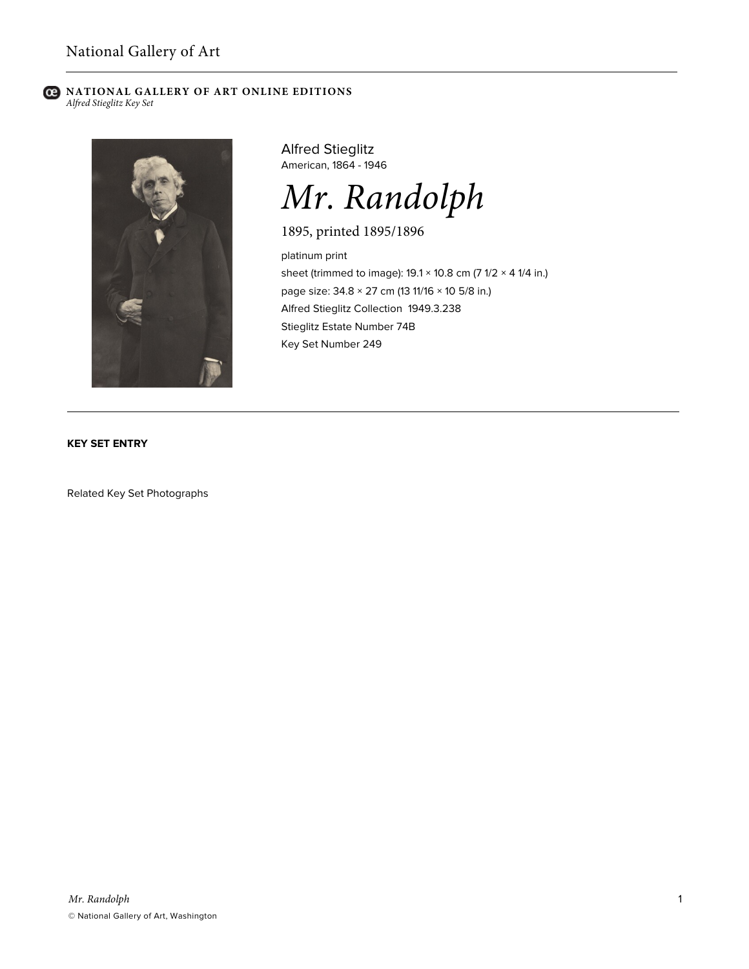#### **C** NATIONAL GALLERY OF ART ONLINE EDITIONS *Alfred Stieglitz Key Set*



Alfred Stieglitz American, 1864 - 1946

*Mr. Randolph*

1895, printed 1895/1896

platinum print sheet (trimmed to image):  $19.1 \times 10.8$  cm (7  $1/2 \times 4$  1/4 in.) page size: 34.8 × 27 cm (13 11/16 × 10 5/8 in.) Alfred Stieglitz Collection 1949.3.238 Stieglitz Estate Number 74B Key Set Number 249

**KEY SET ENTRY**

Related Key Set Photographs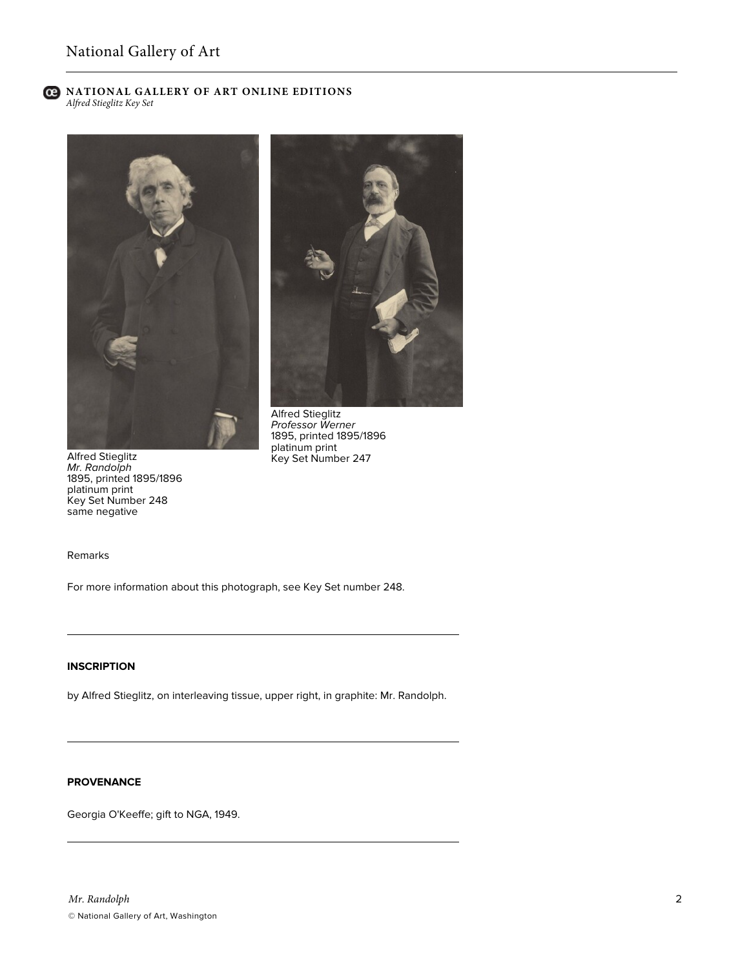**C** NATIONAL GALLERY OF ART ONLINE EDITIONS *Alfred Stieglitz Key Set*





Alfred Stieglitz *Professor Werner* 1895, printed 1895/1896 platinum print Key Set Number 247

Alfred Stieglitz *Mr. Randolph* 1895, printed 1895/1896 platinum print Key Set Number 248 same negative

Remarks

For more information about this photograph, see Key Set number 248.

## **INSCRIPTION**

by Alfred Stieglitz, on interleaving tissue, upper right, in graphite: Mr. Randolph.

# **PROVENANCE**

Georgia O'Keeffe; gift to NGA, 1949.